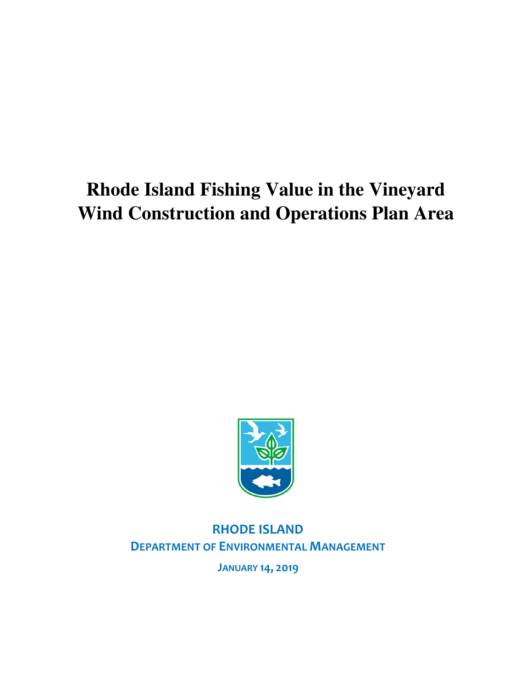## **Rhode Island Fishing Value in the Vineyard Wind Construction and Operations Plan Area**



RHODE ISLAND DEPARTMENT OF ENVIRONMENTAL MANAGEMENT

JANUARY 14, 2019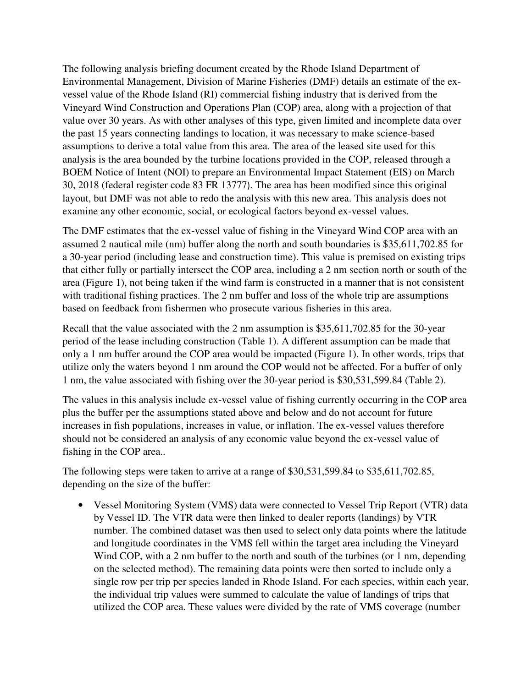The following analysis briefing document created by the Rhode Island Department of Environmental Management, Division of Marine Fisheries (DMF) details an estimate of the exvessel value of the Rhode Island (RI) commercial fishing industry that is derived from the Vineyard Wind Construction and Operations Plan (COP) area, along with a projection of that value over 30 years. As with other analyses of this type, given limited and incomplete data over the past 15 years connecting landings to location, it was necessary to make science-based assumptions to derive a total value from this area. The area of the leased site used for this analysis is the area bounded by the turbine locations provided in the COP, released through a BOEM Notice of Intent (NOI) to prepare an Environmental Impact Statement (EIS) on March 30, 2018 (federal register code 83 FR 13777). The area has been modified since this original layout, but DMF was not able to redo the analysis with this new area. This analysis does not examine any other economic, social, or ecological factors beyond ex-vessel values.

The DMF estimates that the ex-vessel value of fishing in the Vineyard Wind COP area with an assumed 2 nautical mile (nm) buffer along the north and south boundaries is \$35,611,702.85 for a 30-year period (including lease and construction time). This value is premised on existing trips that either fully or partially intersect the COP area, including a 2 nm section north or south of the area (Figure 1), not being taken if the wind farm is constructed in a manner that is not consistent with traditional fishing practices. The 2 nm buffer and loss of the whole trip are assumptions based on feedback from fishermen who prosecute various fisheries in this area.

Recall that the value associated with the 2 nm assumption is \$35,611,702.85 for the 30-year period of the lease including construction (Table 1). A different assumption can be made that only a 1 nm buffer around the COP area would be impacted (Figure 1). In other words, trips that utilize only the waters beyond 1 nm around the COP would not be affected. For a buffer of only 1 nm, the value associated with fishing over the 30-year period is \$30,531,599.84 (Table 2).

The values in this analysis include ex-vessel value of fishing currently occurring in the COP area plus the buffer per the assumptions stated above and below and do not account for future increases in fish populations, increases in value, or inflation. The ex-vessel values therefore should not be considered an analysis of any economic value beyond the ex-vessel value of fishing in the COP area..

The following steps were taken to arrive at a range of \$30,531,599.84 to \$35,611,702.85, depending on the size of the buffer:

• Vessel Monitoring System (VMS) data were connected to Vessel Trip Report (VTR) data by Vessel ID. The VTR data were then linked to dealer reports (landings) by VTR number. The combined dataset was then used to select only data points where the latitude and longitude coordinates in the VMS fell within the target area including the Vineyard Wind COP, with a 2 nm buffer to the north and south of the turbines (or 1 nm, depending on the selected method). The remaining data points were then sorted to include only a single row per trip per species landed in Rhode Island. For each species, within each year, the individual trip values were summed to calculate the value of landings of trips that utilized the COP area. These values were divided by the rate of VMS coverage (number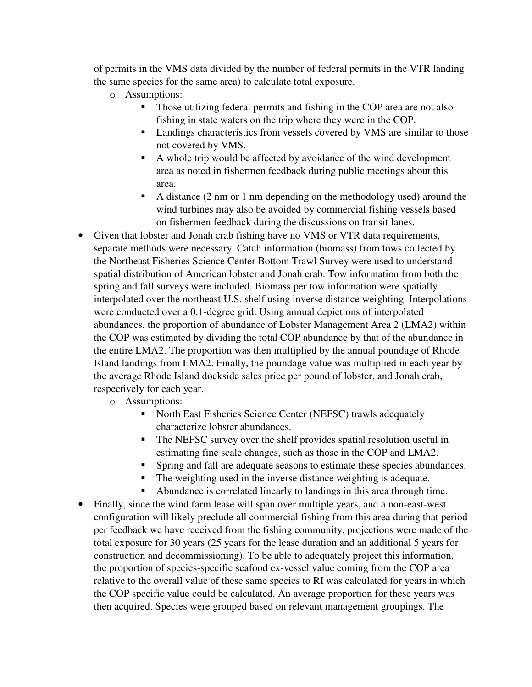of permits in the VMS data divided by the number of federal permits in the VTR landing the same species for the same area) to calculate total exposure.

- o Assumptions:
	- Those utilizing federal permits and fishing in the COP area are not also fishing in state waters on the trip where they were in the COP.
	- **Landings characteristics from vessels covered by VMS are similar to those** not covered by VMS.
	- A whole trip would be affected by avoidance of the wind development area as noted in fishermen feedback during public meetings about this area.
	- A distance (2 nm or 1 nm depending on the methodology used) around the wind turbines may also be avoided by commercial fishing vessels based on fishermen feedback during the discussions on transit lanes.
- Given that lobster and Jonah crab fishing have no VMS or VTR data requirements, separate methods were necessary. Catch information (biomass) from tows collected by the Northeast Fisheries Science Center Bottom Trawl Survey were used to understand spatial distribution of American lobster and Jonah crab. Tow information from both the spring and fall surveys were included. Biomass per tow information were spatially interpolated over the northeast U.S. shelf using inverse distance weighting. Interpolations were conducted over a 0.1-degree grid. Using annual depictions of interpolated abundances, the proportion of abundance of Lobster Management Area 2 (LMA2) within the COP was estimated by dividing the total COP abundance by that of the abundance in the entire LMA2. The proportion was then multiplied by the annual poundage of Rhode Island landings from LMA2. Finally, the poundage value was multiplied in each year by the average Rhode Island dockside sales price per pound of lobster, and Jonah crab, respectively for each year.
	- o Assumptions:
		- North East Fisheries Science Center (NEFSC) trawls adequately characterize lobster abundances.
		- The NEFSC survey over the shelf provides spatial resolution useful in estimating fine scale changes, such as those in the COP and LMA2.
		- **Spring and fall are adequate seasons to estimate these species abundances.**
		- The weighting used in the inverse distance weighting is adequate.
		- Abundance is correlated linearly to landings in this area through time.
- Finally, since the wind farm lease will span over multiple years, and a non-east-west configuration will likely preclude all commercial fishing from this area during that period per feedback we have received from the fishing community, projections were made of the total exposure for 30 years (25 years for the lease duration and an additional 5 years for construction and decommissioning). To be able to adequately project this information, the proportion of species-specific seafood ex-vessel value coming from the COP area relative to the overall value of these same species to RI was calculated for years in which the COP specific value could be calculated. An average proportion for these years was then acquired. Species were grouped based on relevant management groupings. The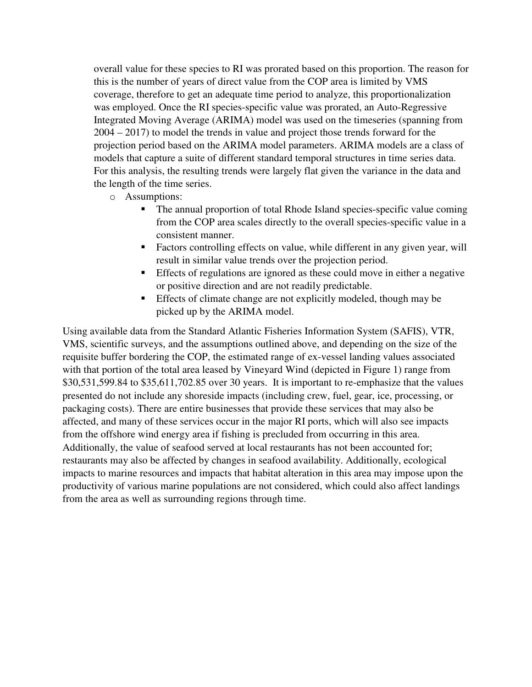overall value for these species to RI was prorated based on this proportion. The reason for this is the number of years of direct value from the COP area is limited by VMS coverage, therefore to get an adequate time period to analyze, this proportionalization was employed. Once the RI species-specific value was prorated, an Auto-Regressive Integrated Moving Average (ARIMA) model was used on the timeseries (spanning from 2004 – 2017) to model the trends in value and project those trends forward for the projection period based on the ARIMA model parameters. ARIMA models are a class of models that capture a suite of different standard temporal structures in time series data. For this analysis, the resulting trends were largely flat given the variance in the data and the length of the time series.

- o Assumptions:
	- The annual proportion of total Rhode Island species-specific value coming from the COP area scales directly to the overall species-specific value in a consistent manner.
	- Factors controlling effects on value, while different in any given year, will result in similar value trends over the projection period.
	- Effects of regulations are ignored as these could move in either a negative or positive direction and are not readily predictable.
	- Effects of climate change are not explicitly modeled, though may be picked up by the ARIMA model.

Using available data from the Standard Atlantic Fisheries Information System (SAFIS), VTR, VMS, scientific surveys, and the assumptions outlined above, and depending on the size of the requisite buffer bordering the COP, the estimated range of ex-vessel landing values associated with that portion of the total area leased by Vineyard Wind (depicted in Figure 1) range from \$30,531,599.84 to \$35,611,702.85 over 30 years. It is important to re-emphasize that the values presented do not include any shoreside impacts (including crew, fuel, gear, ice, processing, or packaging costs). There are entire businesses that provide these services that may also be affected, and many of these services occur in the major RI ports, which will also see impacts from the offshore wind energy area if fishing is precluded from occurring in this area. Additionally, the value of seafood served at local restaurants has not been accounted for; restaurants may also be affected by changes in seafood availability. Additionally, ecological impacts to marine resources and impacts that habitat alteration in this area may impose upon the productivity of various marine populations are not considered, which could also affect landings from the area as well as surrounding regions through time.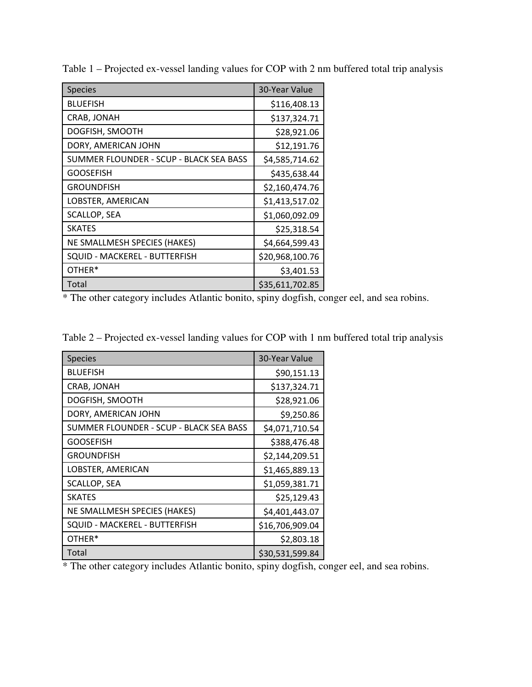| <b>Species</b>                          | 30-Year Value   |
|-----------------------------------------|-----------------|
| <b>BLUEFISH</b>                         | \$116,408.13    |
| CRAB, JONAH                             | \$137,324.71    |
| DOGFISH, SMOOTH                         | \$28,921.06     |
| DORY, AMERICAN JOHN                     | \$12,191.76     |
| SUMMER FLOUNDER - SCUP - BLACK SEA BASS | \$4,585,714.62  |
| <b>GOOSEFISH</b>                        | \$435,638.44    |
| <b>GROUNDFISH</b>                       | \$2,160,474.76  |
| LOBSTER, AMERICAN                       | \$1,413,517.02  |
| SCALLOP, SEA                            | \$1,060,092.09  |
| <b>SKATES</b>                           | \$25,318.54     |
| NE SMALLMESH SPECIES (HAKES)            | \$4,664,599.43  |
| SQUID - MACKEREL - BUTTERFISH           | \$20,968,100.76 |
| OTHER*                                  | \$3,401.53      |
| Total                                   | \$35,611,702.85 |

Table 1 – Projected ex-vessel landing values for COP with 2 nm buffered total trip analysis

\* The other category includes Atlantic bonito, spiny dogfish, conger eel, and sea robins.

| Table 2 – Projected ex-vessel landing values for COP with 1 nm buffered total trip analysis |  |  |
|---------------------------------------------------------------------------------------------|--|--|
|                                                                                             |  |  |

| <b>Species</b>                          | 30-Year Value   |
|-----------------------------------------|-----------------|
| <b>BLUEFISH</b>                         | \$90,151.13     |
| CRAB, JONAH                             | \$137,324.71    |
| DOGFISH, SMOOTH                         | \$28,921.06     |
| DORY, AMERICAN JOHN                     | \$9,250.86      |
| SUMMER FLOUNDER - SCUP - BLACK SEA BASS | \$4,071,710.54  |
| <b>GOOSEFISH</b>                        | \$388,476.48    |
| <b>GROUNDFISH</b>                       | \$2,144,209.51  |
| LOBSTER, AMERICAN                       | \$1,465,889.13  |
| <b>SCALLOP, SEA</b>                     | \$1,059,381.71  |
| <b>SKATES</b>                           | \$25,129.43     |
| NE SMALLMESH SPECIES (HAKES)            | \$4,401,443.07  |
| SQUID - MACKEREL - BUTTERFISH           | \$16,706,909.04 |
| OTHER*                                  | \$2,803.18      |
| Total                                   | \$30,531,599.84 |

\* The other category includes Atlantic bonito, spiny dogfish, conger eel, and sea robins.